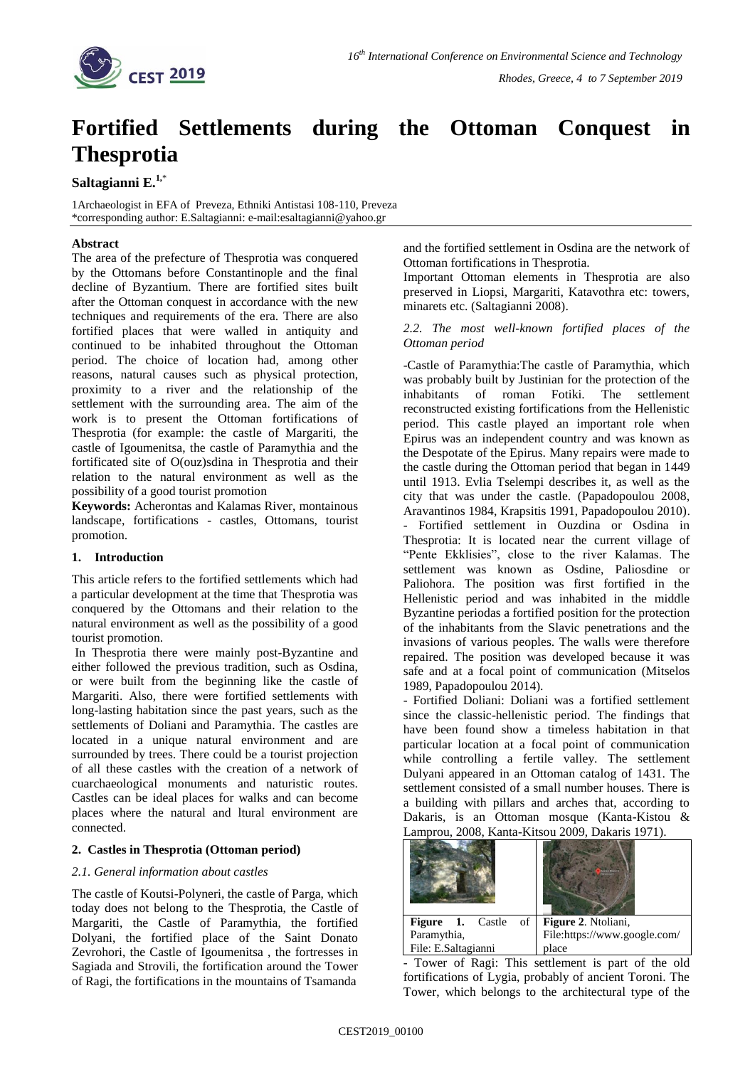

# **Fortified Settlements during the Ottoman Conquest in Thesprotia**

# **Saltagianni E.1,**\*

1Archaeologist in EFA of Preveza, Ethniki Antistasi 108-110, Preveza \*corresponding author: E.Saltagianni: e-mail:esaltagianni@yahoo.gr

## **Abstract**

The area of the prefecture of Thesprotia was conquered by the Ottomans before Constantinople and the final decline of Byzantium. There are fortified sites built after the Ottoman conquest in accordance with the new techniques and requirements of the era. There are also fortified places that were walled in antiquity and continued to be inhabited throughout the Ottoman period. The choice of location had, among other reasons, natural causes such as physical protection, proximity to a river and the relationship of the settlement with the surrounding area. The aim of the work is to present the Ottoman fortifications of Thesprotia (for example: the castle of Margariti, the castle of Igoumenitsa, the castle of Paramythia and the fortificated site of O(ouz)sdina in Thesprotia and their relation to the natural environment as well as the possibility of a good tourist promotion

**Keywords:** Acherontas and Kalamas River, montainous landscape, fortifications - castles, Ottomans, tourist promotion.

#### **1. Introduction**

This article refers to the fortified settlements which had a particular development at the time that Thesprotia was conquered by the Ottomans and their relation to the natural environment as well as the possibility of a good tourist promotion.

In Thesprotia there were mainly post-Byzantine and either followed the previous tradition, such as Osdina, or were built from the beginning like the castle of Margariti. Also, there were fortified settlements with long-lasting habitation since the past years, such as the settlements of Doliani and Paramythia. The castles are located in a unique natural environment and are surrounded by trees. There could be a tourist projection of all these castles with the creation of a network of cuarchaeological monuments and naturistic routes. Castles can be ideal places for walks and can become places where the natural and ltural environment are connected.

# **2. Castles in Thesprotia (Ottoman period)**

#### *2.1. General information about castles*

The castle of Koutsi-Polyneri, the castle of Parga, which today does not belong to the Thesprotia, the Castle of Margariti, the Castle of Paramythia, the fortified Dolyani, the fortified place of the Saint Donato Zevrohori, the Castle of Igoumenitsa , the fortresses in Sagiada and Strovili, the fortification around the Tower of Ragi, the fortifications in the mountains of Tsamanda

and the fortified settlement in Osdina are the network of Ottoman fortifications in Thesprotia.

Important Ottoman elements in Thesprotia are also preserved in Liopsi, Margariti, Katavothra etc: towers, minarets etc. (Saltagianni 2008).

## *2.2. The most well-known fortified places of the Ottoman period*

-Castle of Paramythia:The castle of Paramythia, which was probably built by Justinian for the protection of the inhabitants of roman Fotiki. The settlement reconstructed existing fortifications from the Hellenistic period. This castle played an important role when Epirus was an independent country and was known as the Despotate of the Epirus. Many repairs were made to the castle during the Ottoman period that began in 1449 until 1913. Evlia Tselempi describes it, as well as the city that was under the castle. (Papadopoulou 2008, Aravantinos 1984, Krapsitis 1991, Papadopoulou 2010). - Fortified settlement in Ouzdina or Osdina in Thesprotia: It is located near the current village of "Pente Ekklisies", close to the river Kalamas. The settlement was known as Osdine, Paliosdine or Paliohora. The position was first fortified in the Hellenistic period and was inhabited in the middle Byzantine periodas a fortified position for the protection of the inhabitants from the Slavic penetrations and the invasions of various peoples. The walls were therefore repaired. The position was developed because it was safe and at a focal point of communication (Mitselos 1989, Papadopoulou 2014).

- Fortified Doliani: Doliani was a fortified settlement since the classic-hellenistic period. The findings that have been found show a timeless habitation in that particular location at a focal point of communication while controlling a fertile valley. The settlement Dulyani appeared in an Ottoman catalog of 1431. The settlement consisted of a small number houses. There is a building with pillars and arches that, according to Dakaris, is an Ottoman mosque (Kanta-Kistou & Lamprou, 2008, Kanta-Kitsou 2009, Dakaris 1971).

| $\overline{\text{of}}$<br><b>Figure 1.</b> Castle | Figure 2. Ntoliani,          |
|---------------------------------------------------|------------------------------|
| Paramythia,                                       | File:https://www.google.com/ |
| File: E.Saltagianni                               | place                        |

- Tower of Ragi: This settlement is part of the old fortifications of Lygia, probably of ancient Toroni. The Tower, which belongs to the architectural type of the